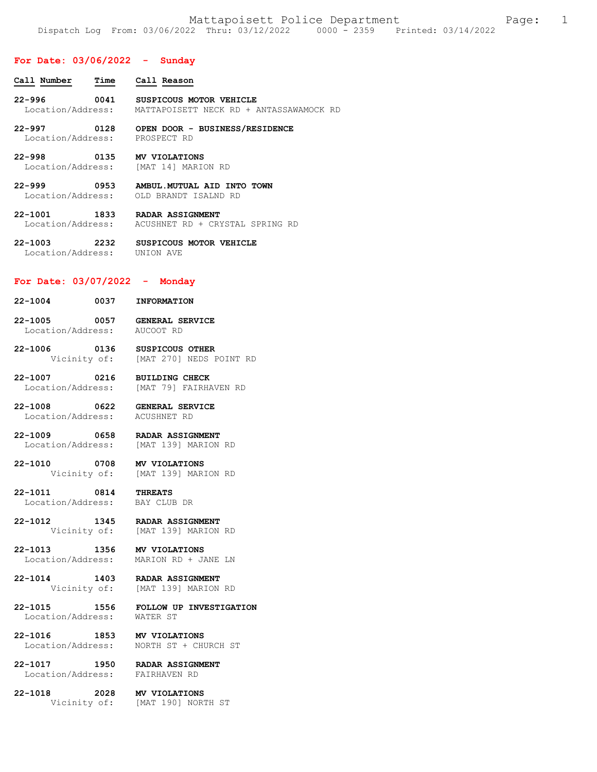### **For Date: 03/06/2022 - Sunday**

| Call Number                             | Time | Call Reason                                                        |
|-----------------------------------------|------|--------------------------------------------------------------------|
| $22 - 996$<br>Location/Address:         | 0041 | SUSPICOUS MOTOR VEHICLE<br>MATTAPOISETT NECK RD + ANTASSAWAMOCK RD |
| $22 - 997$<br>0128<br>Location/Address: |      | OPEN DOOR - BUSINESS/RESIDENCE<br>PROSPECT RD                      |
| $22 - 998$                              | 0135 | MV VIOLATIONS<br>Location/Address: [MAT 14] MARION RD              |

**22-999 0953 AMBUL.MUTUAL AID INTO TOWN**  OLD BRANDT ISALND RD

**22-1001 1833 RADAR ASSIGNMENT**  Location/Address: ACUSHNET RD + CRYSTAL SPRING RD

**22-1003 2232 SUSPICOUS MOTOR VEHICLE**  Location/Address: UNION AVE

### **For Date: 03/07/2022 - Monday**

| 22-1004                      | 0037 | <b>INFORMATION</b>                  |
|------------------------------|------|-------------------------------------|
| 22-1005<br>Location/Address: | 0057 | <b>GENERAL SERVICE</b><br>AUCOOT RD |

**22-1006 0136 SUSPICOUS OTHER**  Vicinity of: [MAT 270] NEDS POINT RD

**22-1007 0216 BUILDING CHECK**  Location/Address: [MAT 79] FAIRHAVEN RD

**22-1008 0622 GENERAL SERVICE**  Location/Address: ACUSHNET RD

**22-1009 0658 RADAR ASSIGNMENT**  [MAT 139] MARION RD

**22-1010 0708 MV VIOLATIONS**  Vicinity of: [MAT 139] MARION RD

**22-1011 0814 THREATS**  Location/Address:

**22-1012 1345 RADAR ASSIGNMENT**  Vicinity of: [MAT 139] MARION RD

**22-1013 1356 MV VIOLATIONS**  MARION RD + JANE LN

**22-1014 1403 RADAR ASSIGNMENT**  [MAT 139] MARION RD

**22-1015 1556 FOLLOW UP INVESTIGATION**  Location/Address:

**22-1016 1853 MV VIOLATIONS**  Location/Address: NORTH ST + CHURCH ST

**22-1017 1950 RADAR ASSIGNMENT**  Location/Address:

**22-1018 2028 MV VIOLATIONS** 

Vicinity of: [MAT 190] NORTH ST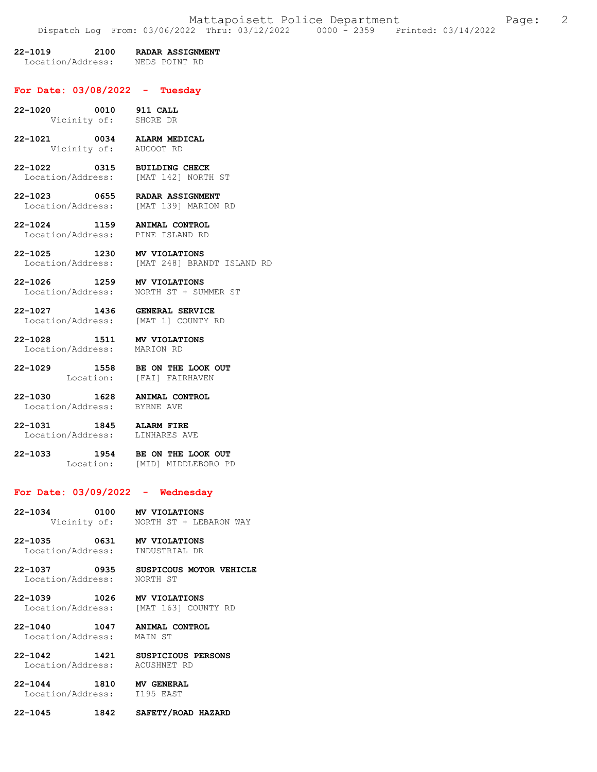# **22-1019 2100 RADAR ASSIGNMENT**

Location/Address: NEDS POINT RD

#### **For Date: 03/08/2022 - Tuesday**

- **22-1020 0010 911 CALL**  Vicinity of:
- **22-1021 0034 ALARM MEDICAL**  Vicinity of: AUCOOT RD
- **22-1022 0315 BUILDING CHECK**  [MAT 142] NORTH ST
- **22-1023 0655 RADAR ASSIGNMENT**  [MAT 139] MARION RD
- **22-1024 1159 ANIMAL CONTROL**  Location/Address:
- **22-1025 1230 MV VIOLATIONS**  [MAT 248] BRANDT ISLAND RD
- **22-1026 1259 MV VIOLATIONS**  Location/Address: NORTH ST + SUMMER ST
- **22-1027 1436 GENERAL SERVICE**  Location/Address:
- **22-1028 1511 MV VIOLATIONS**  Location/Address:
	-
- **22-1029 1558 BE ON THE LOOK OUT**  Location: [FAI] FAIRHAVEN
- **22-1030 1628 ANIMAL CONTROL**  Location/Address:
- **22-1031 1845 ALARM FIRE**  Location/Address:
- **22-1033 1954 BE ON THE LOOK OUT**  Location: [MID] MIDDLEBORO PD

# **For Date: 03/09/2022 - Wednesday**

**22-1034 0100 MV VIOLATIONS**  Vicinity of: NORTH ST + LEBARON WAY

- **22-1035 0631 MV VIOLATIONS**  Location/Address: INDUSTRIAL DR
- **22-1037 0935 SUSPICOUS MOTOR VEHICLE**  Location/Address:
- **22-1039 1026 MV VIOLATIONS**  [MAT 163] COUNTY RD
- **22-1040 1047 ANIMAL CONTROL**  Location/Address:
- **22-1042 1421 SUSPICIOUS PERSONS**  Location/Address: ACUSHNET RD
- **22-1044 1810 MV GENERAL**  Location/Address:
- **22-1045 1842 SAFETY/ROAD HAZARD**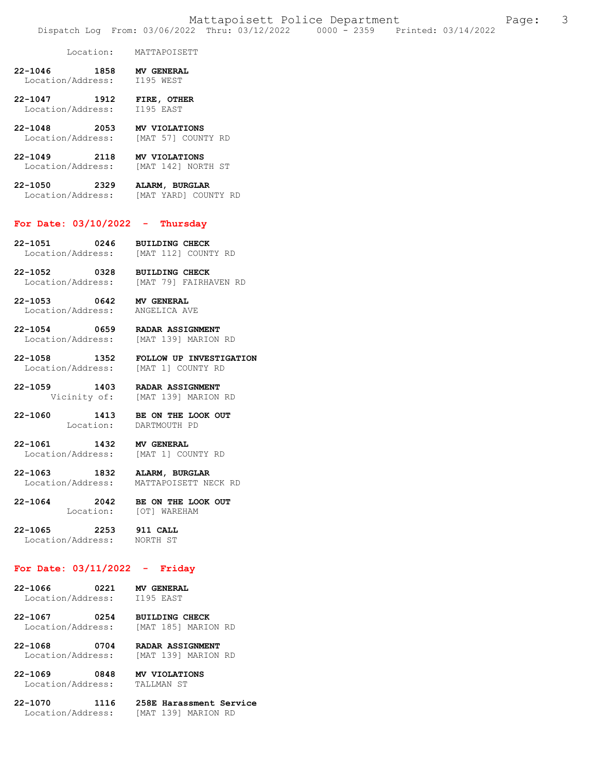#### Location: MATTAPOISETT

- **22-1046 1858 MV GENERAL**  Location/Address:
- **22-1047 1912 FIRE, OTHER**  Location/Address: I195 EAST
- **22-1048 2053 MV VIOLATIONS**  [MAT 57] COUNTY RD
- **22-1049 2118 MV VIOLATIONS**  Location/Address: [MAT 142] NORTH ST
- **22-1050 2329 ALARM, BURGLAR**  Location/Address: [MAT YARD] COUNTY RD

#### **For Date: 03/10/2022 - Thursday**

- **22-1051 0246 BUILDING CHECK**  Location/Address: [MAT 112] COUNTY RD
- **22-1052 0328 BUILDING CHECK**  Location/Address: [MAT 79] FAIRHAVEN RD
- **22-1053 0642 MV GENERAL**  Location/Address: ANGELICA AVE
- **22-1054 0659 RADAR ASSIGNMENT**  Location/Address: [MAT 139] MARION RD
- **22-1058 1352 FOLLOW UP INVESTIGATION**  Location/Address:
- **22-1059 1403 RADAR ASSIGNMENT**  Vicinity of: [MAT 139] MARION RD
- **22-1060 1413 BE ON THE LOOK OUT**  Location: DARTMOUTH PD
- **22-1061 1432 MV GENERAL**  Location/Address: [MAT 1] COUNTY RD
- **22-1063 1832 ALARM, BURGLAR**  MATTAPOISETT NECK RD
- **22-1064 2042 BE ON THE LOOK OUT**  Location: [OT] WAREHAM
- **22-1065 2253 911 CALL**  Location/Address:
	-

## **For Date: 03/11/2022 - Friday**

- **22-1066 0221 MV GENERAL**  Location/Address:
- 22-1067 0254 BUILDING CHECK<br>Location/Address: [MAT 185] MARION RD Location/Address:
- **22-1068 0704 RADAR ASSIGNMENT**  Location/Address: [MAT 139] MARION RD
- **22-1069 0848 MV VIOLATIONS**  Location/Address:

- Location/Address: [MAT 139] MARION RD
- **22-1070 1116 258E Harassment Service**